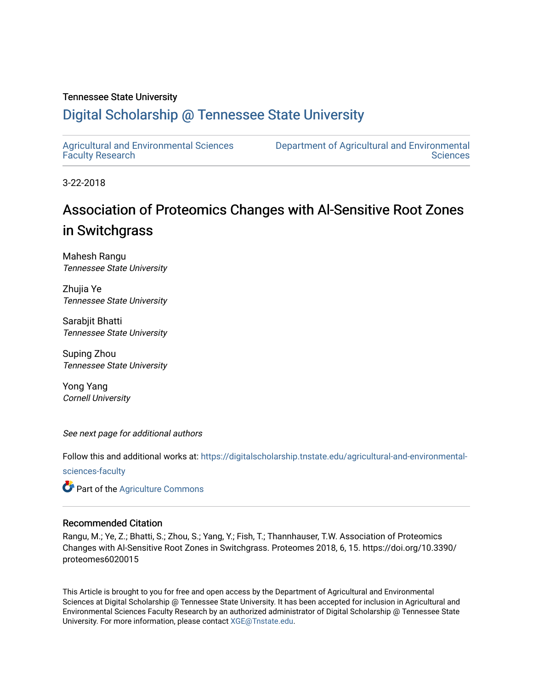### Tennessee State University

## [Digital Scholarship @ Tennessee State University](https://digitalscholarship.tnstate.edu/)

[Agricultural and Environmental Sciences](https://digitalscholarship.tnstate.edu/agricultural-and-environmental-sciences-faculty)  [Faculty Research](https://digitalscholarship.tnstate.edu/agricultural-and-environmental-sciences-faculty)

[Department of Agricultural and Environmental](https://digitalscholarship.tnstate.edu/agricultural-and-environmental-sciences)  **Sciences** 

3-22-2018

## Association of Proteomics Changes with Al-Sensitive Root Zones in Switchgrass

Mahesh Rangu Tennessee State University

Zhujia Ye Tennessee State University

Sarabjit Bhatti Tennessee State University

Suping Zhou Tennessee State University

Yong Yang Cornell University

See next page for additional authors

Follow this and additional works at: [https://digitalscholarship.tnstate.edu/agricultural-and-environmental-](https://digitalscholarship.tnstate.edu/agricultural-and-environmental-sciences-faculty?utm_source=digitalscholarship.tnstate.edu%2Fagricultural-and-environmental-sciences-faculty%2F56&utm_medium=PDF&utm_campaign=PDFCoverPages)

[sciences-faculty](https://digitalscholarship.tnstate.edu/agricultural-and-environmental-sciences-faculty?utm_source=digitalscholarship.tnstate.edu%2Fagricultural-and-environmental-sciences-faculty%2F56&utm_medium=PDF&utm_campaign=PDFCoverPages)

**C** Part of the [Agriculture Commons](http://network.bepress.com/hgg/discipline/1076?utm_source=digitalscholarship.tnstate.edu%2Fagricultural-and-environmental-sciences-faculty%2F56&utm_medium=PDF&utm_campaign=PDFCoverPages)

### Recommended Citation

Rangu, M.; Ye, Z.; Bhatti, S.; Zhou, S.; Yang, Y.; Fish, T.; Thannhauser, T.W. Association of Proteomics Changes with Al-Sensitive Root Zones in Switchgrass. Proteomes 2018, 6, 15. https://doi.org/10.3390/ proteomes6020015

This Article is brought to you for free and open access by the Department of Agricultural and Environmental Sciences at Digital Scholarship @ Tennessee State University. It has been accepted for inclusion in Agricultural and Environmental Sciences Faculty Research by an authorized administrator of Digital Scholarship @ Tennessee State University. For more information, please contact [XGE@Tnstate.edu](mailto:XGE@Tnstate.edu).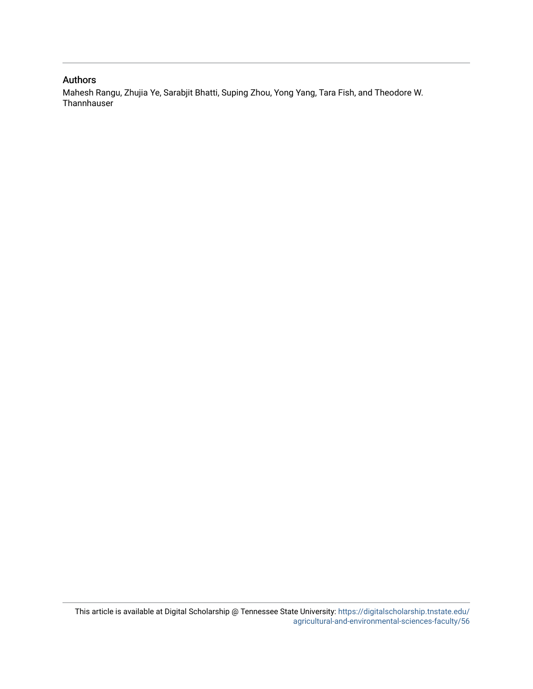## Authors

Mahesh Rangu, Zhujia Ye, Sarabjit Bhatti, Suping Zhou, Yong Yang, Tara Fish, and Theodore W. **Thannhauser**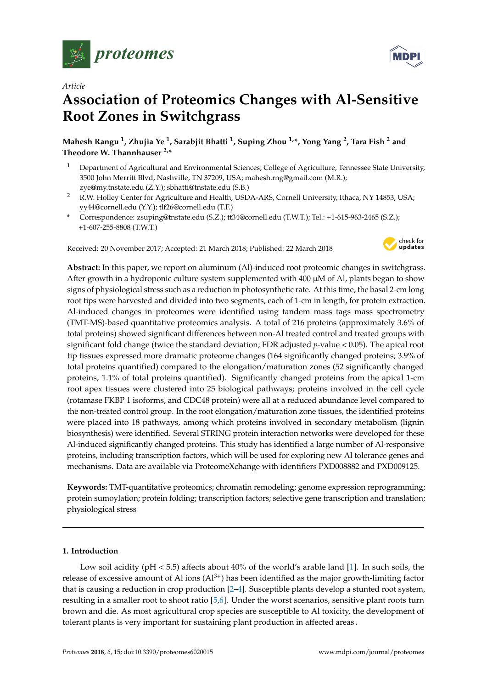

*Article*

# **Association of Proteomics Changes with Al-Sensitive Root Zones in Switchgrass**

**Mahesh Rangu <sup>1</sup> , Zhujia Ye <sup>1</sup> , Sarabjit Bhatti <sup>1</sup> , Suping Zhou 1,\*, Yong Yang <sup>2</sup> , Tara Fish <sup>2</sup> and Theodore W. Thannhauser 2,\***

- <sup>1</sup> Department of Agricultural and Environmental Sciences, College of Agriculture, Tennessee State University, 3500 John Merritt Blvd, Nashville, TN 37209, USA; mahesh.rng@gmail.com (M.R.); zye@my.tnstate.edu (Z.Y.); sbhatti@tnstate.edu (S.B.)
- <sup>2</sup> R.W. Holley Center for Agriculture and Health, USDA-ARS, Cornell University, Ithaca, NY 14853, USA; yy44@cornell.edu (Y.Y.); tlf26@cornell.edu (T.F.)
- **\*** Correspondence: zsuping@tnstate.edu (S.Z.); tt34@cornell.edu (T.W.T.); Tel.: +1-615-963-2465 (S.Z.); +1-607-255-8808 (T.W.T.)

Received: 20 November 2017; Accepted: 21 March 2018; Published: 22 March 2018



**Abstract:** In this paper, we report on aluminum (Al)-induced root proteomic changes in switchgrass. After growth in a hydroponic culture system supplemented with  $400 \mu M$  of Al, plants began to show signs of physiological stress such as a reduction in photosynthetic rate. At this time, the basal 2-cm long root tips were harvested and divided into two segments, each of 1-cm in length, for protein extraction. Al-induced changes in proteomes were identified using tandem mass tags mass spectrometry (TMT-MS)-based quantitative proteomics analysis. A total of 216 proteins (approximately 3.6% of total proteins) showed significant differences between non-Al treated control and treated groups with significant fold change (twice the standard deviation; FDR adjusted *p*-value < 0.05). The apical root tip tissues expressed more dramatic proteome changes (164 significantly changed proteins; 3.9% of total proteins quantified) compared to the elongation/maturation zones (52 significantly changed proteins, 1.1% of total proteins quantified). Significantly changed proteins from the apical 1-cm root apex tissues were clustered into 25 biological pathways; proteins involved in the cell cycle (rotamase FKBP 1 isoforms, and CDC48 protein) were all at a reduced abundance level compared to the non-treated control group. In the root elongation/maturation zone tissues, the identified proteins were placed into 18 pathways, among which proteins involved in secondary metabolism (lignin biosynthesis) were identified. Several STRING protein interaction networks were developed for these Al-induced significantly changed proteins. This study has identified a large number of Al-responsive proteins, including transcription factors, which will be used for exploring new Al tolerance genes and mechanisms. Data are available via ProteomeXchange with identifiers PXD008882 and PXD009125.

**Keywords:** TMT-quantitative proteomics; chromatin remodeling; genome expression reprogramming; protein sumoylation; protein folding; transcription factors; selective gene transcription and translation; physiological stress

#### **1. Introduction**

Low soil acidity (pH < 5.5) affects about 40% of the world's arable land [\[1\]](#page-12-0). In such soils, the release of excessive amount of Al ions  $(A<sup>3+</sup>)$  has been identified as the major growth-limiting factor that is causing a reduction in crop production [\[2–](#page-12-1)[4\]](#page-12-2). Susceptible plants develop a stunted root system, resulting in a smaller root to shoot ratio [\[5](#page-12-3)[,6\]](#page-12-4). Under the worst scenarios, sensitive plant roots turn brown and die. As most agricultural crop species are susceptible to Al toxicity, the development of tolerant plants is very important for sustaining plant production in affected areas.

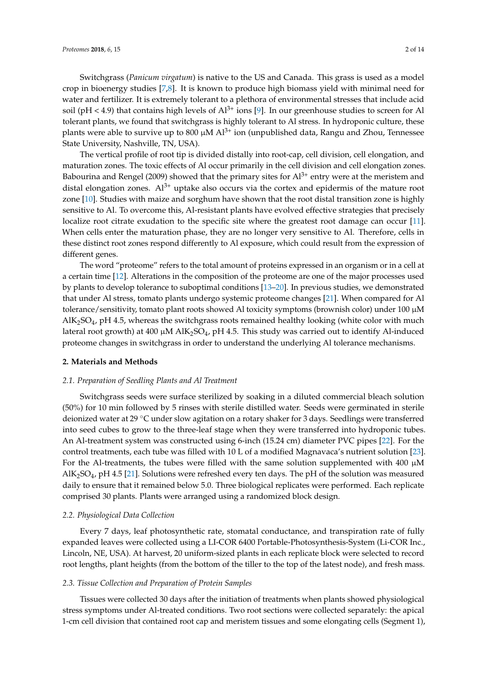Switchgrass (*Panicum virgatum*) is native to the US and Canada. This grass is used as a model crop in bioenergy studies [\[7](#page-12-5)[,8\]](#page-12-6). It is known to produce high biomass yield with minimal need for water and fertilizer. It is extremely tolerant to a plethora of environmental stresses that include acid soil ( $pH < 4.9$ ) that contains high levels of  $Al^{3+}$  ions [\[9\]](#page-12-7). In our greenhouse studies to screen for Al tolerant plants, we found that switchgrass is highly tolerant to Al stress. In hydroponic culture, these plants were able to survive up to 800  $\mu$ M Al<sup>3+</sup> ion (unpublished data, Rangu and Zhou, Tennessee State University, Nashville, TN, USA).

The vertical profile of root tip is divided distally into root-cap, cell division, cell elongation, and maturation zones. The toxic effects of Al occur primarily in the cell division and cell elongation zones. Babourina and Rengel (2009) showed that the primary sites for  $Al^{3+}$  entry were at the meristem and distal elongation zones.  $Al^{3+}$  uptake also occurs via the cortex and epidermis of the mature root zone [\[10\]](#page-12-8). Studies with maize and sorghum have shown that the root distal transition zone is highly sensitive to Al. To overcome this, Al-resistant plants have evolved effective strategies that precisely localize root citrate exudation to the specific site where the greatest root damage can occur [\[11\]](#page-12-9). When cells enter the maturation phase, they are no longer very sensitive to Al. Therefore, cells in these distinct root zones respond differently to Al exposure, which could result from the expression of different genes.

The word "proteome" refers to the total amount of proteins expressed in an organism or in a cell at a certain time [\[12\]](#page-12-10). Alterations in the composition of the proteome are one of the major processes used by plants to develop tolerance to suboptimal conditions [\[13](#page-12-11)[–20\]](#page-12-12). In previous studies, we demonstrated that under Al stress, tomato plants undergo systemic proteome changes [\[21\]](#page-12-13). When compared for Al tolerance/sensitivity, tomato plant roots showed Al toxicity symptoms (brownish color) under 100 µM  $AIK_2SO_4$ , pH 4.5, whereas the switchgrass roots remained healthy looking (white color with much lateral root growth) at 400  $\mu$ M AlK<sub>2</sub>SO<sub>4</sub>, pH 4.5. This study was carried out to identify Al-induced proteome changes in switchgrass in order to understand the underlying Al tolerance mechanisms.

#### **2. Materials and Methods**

#### *2.1. Preparation of Seedling Plants and Al Treatment*

Switchgrass seeds were surface sterilized by soaking in a diluted commercial bleach solution (50%) for 10 min followed by 5 rinses with sterile distilled water. Seeds were germinated in sterile deionized water at 29 ◦C under slow agitation on a rotary shaker for 3 days. Seedlings were transferred into seed cubes to grow to the three-leaf stage when they were transferred into hydroponic tubes. An Al-treatment system was constructed using 6-inch (15.24 cm) diameter PVC pipes [\[22\]](#page-13-0). For the control treatments, each tube was filled with 10 L of a modified Magnavaca's nutrient solution [\[23\]](#page-13-1). For the Al-treatments, the tubes were filled with the same solution supplemented with  $400 \mu M$ AlK<sub>2</sub>SO<sub>4</sub>, pH 4.5 [\[21\]](#page-12-13). Solutions were refreshed every ten days. The pH of the solution was measured daily to ensure that it remained below 5.0. Three biological replicates were performed. Each replicate comprised 30 plants. Plants were arranged using a randomized block design.

#### *2.2. Physiological Data Collection*

Every 7 days, leaf photosynthetic rate, stomatal conductance, and transpiration rate of fully expanded leaves were collected using a LI-COR 6400 Portable-Photosynthesis-System (Li-COR Inc., Lincoln, NE, USA). At harvest, 20 uniform-sized plants in each replicate block were selected to record root lengths, plant heights (from the bottom of the tiller to the top of the latest node), and fresh mass.

#### *2.3. Tissue Collection and Preparation of Protein Samples*

Tissues were collected 30 days after the initiation of treatments when plants showed physiological stress symptoms under Al-treated conditions. Two root sections were collected separately: the apical 1-cm cell division that contained root cap and meristem tissues and some elongating cells (Segment 1),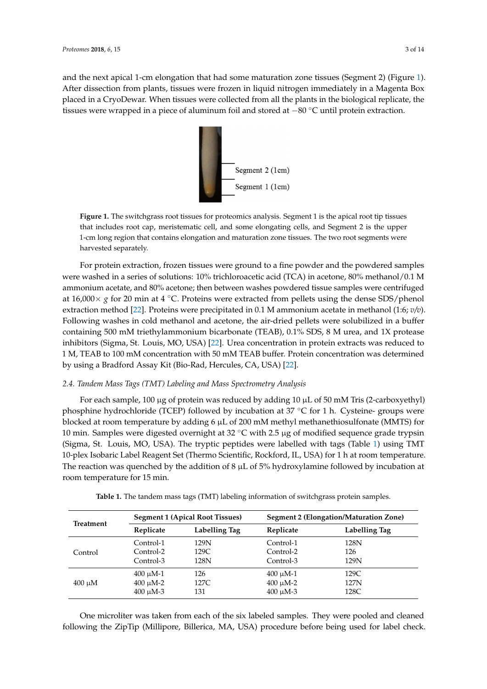<span id="page-4-0"></span>and the next apical 1-cm elongatio[n](#page-4-0) that had some maturation zone tissues (Segment 2) (Figure 1). After dissection from plants, tissues were frozen in liquid nitrogen immediately in a Magenta Box placed in a CryoDewar. When tissues were collected from all the plants in the biological replicate, the tissues were wrapped in a piece of aluminum foil and stored at -80 °C until protein extraction.



Figure 1. The switchgrass root tissues for proteomics analysis. Segment 1 is the apical root tip tissues **Figure 1.** The switchgrass root tissues for proteomics analysis. Segment 1 is the apical root tip tissues that includes root cap, meristematic cell, and some elongating cells, and Segment 2 is the upper 1-cm long region that contains elongation and maturation zone tissues. The two root segments were harvested separately. harvested separately.

For protein extraction, frozen tissues were ground to a fine powder and the powdered samples For protein extraction, frozen tissues were ground to a fine powder and the powdered samples were washed in a series of solutions: 10% trichloroacetic acid (TCA) in acetone, 80% methanol/0.1 M were washed in a series of solutions: 10% trichloroacetic acid (TCA) in acetone, 80% methanol/0.1 M ammonium acetate, and 80% acetone; then between washes powdered tissue samples were ammonium acetate, and 80% acetone; then between washes powdered tissue samples were centrifuged at 16,000 × *g* for 20 min at 4 °C. Proteins were extracted from pellets using the dense SDS/phenol extracti[on](#page-13-0) method [22]. Proteins were precipitated in 0.1 M ammonium acetate in methanol (1:6;  $v/v$ ). Following washes in cold methanol and acetone, the air-dried pellets were solubilized in a buffer containing 500 mM triethylammonium bicarbonate (TEAB), 0.1% SDS, 8 M urea, and 1X protease inhibitors (Sigma, [St.](#page-13-0) Louis, MO, USA) [22]. Urea concentration in protein extracts was reduced to  $1$  M, TEAB to 100 mM concentration with 50 mM TEAB buffer. Protein concentration was determined by using a Bradford Assay Kit ([Bio](#page-13-0)-Rad, Hercules, CA, USA) [22].

## 2.4. Tandem Mass Tags (TMT) Labeling and Mass Spectrometry Analysis *2.4. Tandem Mass Tags (TMT) Labeling and Mass Spectrometry Analysis*

For each sample, 100 μg of protein was reduced by adding 10 μL of 50 mM Tris (2-carboxyethyl) For each sample, 100 µg of protein was reduced by adding 10 µL of 50 mM Tris (2-carboxyethyl) phosphine hydrochloride (TCEP) followed by incubation at 37 ℃ for 1 h. Cysteine- groups were blocked at room temperature by adding 6 μL of 200 mM methyl methanethiosulfonate (MMTS) for blocked at room temperature by adding 6 µL of 200 mM methyl methanethiosulfonate (MMTS) for 10 min. Samples were digested overnight at 32 °C with 2.5 μg of modified sequence grade trypsin 10 min. Samples were digested overnight at 32 ◦C with 2.5 µg of modified sequence grade trypsin (Sigma, St. Louis, MO, USA). The tryptic peptides were labelled with tags (Table [1\)](#page-4-1) using TMT (Sigma, St. Louis, MO, USA). The tryptic peptides were labelled with tags (Table 1) using TMT 10-plex Isobaric Label Reagent Set (Thermo Scientific, Rockford, IL, USA) for 1 h at room 10-plex Isobaric Label Reagent Set (Thermo Scientific, Rockford, IL, USA) for 1 h at room temperature. The reaction was quenched by the addition of 8  $\mu$ L of 5% hydroxylamine followed by incubation at room temperature for 15 min.

<span id="page-4-1"></span>

| Treatment   | <b>Segment 1 (Apical Root Tissues)</b> |               | <b>Segment 2 (Elongation/Maturation Zone)</b> |               |  |
|-------------|----------------------------------------|---------------|-----------------------------------------------|---------------|--|
|             | Replicate                              | Labelling Tag | Replicate                                     | Labelling Tag |  |
| Control     | Control-1                              | 129N          | Control-1                                     | 128N          |  |
|             | Control-2                              | 129C          | Control-2                                     | 126           |  |
|             | Control-3                              | 128N          | Control-3                                     | 129N          |  |
| $400 \mu M$ | $400 \mu M-1$                          | 126           | $400 \mu M-1$                                 | 129C          |  |
|             | $400 \mu M - 2$                        | 127C          | $400 \mu M - 2$                               | 127N          |  |
|             | $400 \mu M - 3$                        | 131           | $400 \mu M - 3$                               | 128C          |  |

Table 1. The tandem mass tags (TMT) labeling information of switchgrass protein samples. **Table 1.** The tandem mass tags (TMT) labeling information of switchgrass protein samples.

One microliter was taken from each of the six labeled samples. They were pooled and cleaned following the ZipTip (Millipore, Billerica, MA, USA) procedure before being used for label check.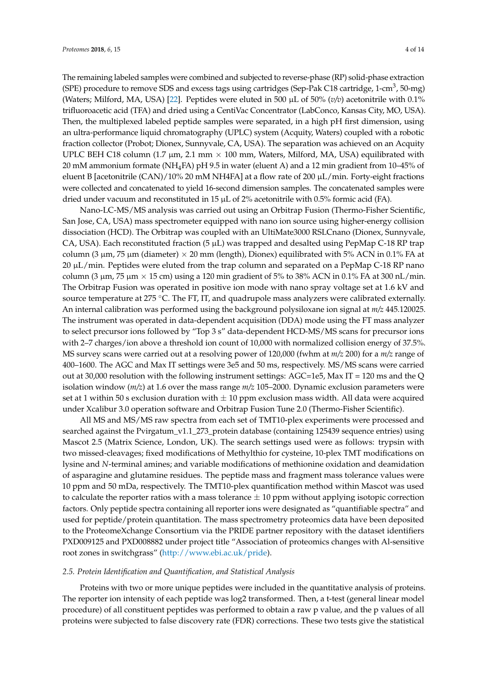The remaining labeled samples were combined and subjected to reverse-phase (RP) solid-phase extraction (SPE) procedure to remove SDS and excess tags using cartridges (Sep-Pak C18 cartridge, 1-cm $^3$ , 50-mg) (Waters; Milford, MA, USA) [\[22\]](#page-13-0). Peptides were eluted in 500 µL of 50% (*v/v*) acetonitrile with 0.1% trifluoroacetic acid (TFA) and dried using a CentiVac Concentrator (LabConco, Kansas City, MO, USA). Then, the multiplexed labeled peptide samples were separated, in a high pH first dimension, using an ultra-performance liquid chromatography (UPLC) system (Acquity, Waters) coupled with a robotic fraction collector (Probot; Dionex, Sunnyvale, CA, USA). The separation was achieved on an Acquity UPLC BEH C18 column (1.7  $\mu$ m, 2.1 mm  $\times$  100 mm, Waters, Milford, MA, USA) equilibrated with 20 mM ammonium formate (NH4FA) pH 9.5 in water (eluent A) and a 12 min gradient from 10–45% of eluent B [acetonitrile (CAN)/10% 20 mM NH4FA] at a flow rate of 200  $\mu$ L/min. Forty-eight fractions were collected and concatenated to yield 16-second dimension samples. The concatenated samples were dried under vacuum and reconstituted in 15  $\mu$ L of 2% acetonitrile with 0.5% formic acid (FA).

Nano-LC-MS/MS analysis was carried out using an Orbitrap Fusion (Thermo-Fisher Scientific, San Jose, CA, USA) mass spectrometer equipped with nano ion source using higher-energy collision dissociation (HCD). The Orbitrap was coupled with an UltiMate3000 RSLCnano (Dionex, Sunnyvale, CA, USA). Each reconstituted fraction (5  $\mu$ L) was trapped and desalted using PepMap C-18 RP trap column (3  $\mu$ m, 75  $\mu$ m (diameter)  $\times$  20 mm (length), Dionex) equilibrated with 5% ACN in 0.1% FA at 20 µL/min. Peptides were eluted from the trap column and separated on a PepMap C-18 RP nano column (3  $\mu$ m, 75  $\mu$ m  $\times$  15 cm) using a 120 min gradient of 5% to 38% ACN in 0.1% FA at 300 nL/min. The Orbitrap Fusion was operated in positive ion mode with nano spray voltage set at 1.6 kV and source temperature at 275 ℃. The FT, IT, and quadrupole mass analyzers were calibrated externally. An internal calibration was performed using the background polysiloxane ion signal at *m/z* 445.120025. The instrument was operated in data-dependent acquisition (DDA) mode using the FT mass analyzer to select precursor ions followed by "Top 3 s" data-dependent HCD-MS/MS scans for precursor ions with 2–7 charges/ion above a threshold ion count of 10,000 with normalized collision energy of 37.5%. MS survey scans were carried out at a resolving power of 120,000 (fwhm at *m/z* 200) for a *m/z* range of 400–1600. The AGC and Max IT settings were 3e5 and 50 ms, respectively. MS/MS scans were carried out at 30,000 resolution with the following instrument settings: AGC=1e5, Max IT = 120 ms and the Q isolation window (*m/z*) at 1.6 over the mass range *m/z* 105–2000. Dynamic exclusion parameters were set at 1 within 50 s exclusion duration with  $\pm$  10 ppm exclusion mass width. All data were acquired under Xcalibur 3.0 operation software and Orbitrap Fusion Tune 2.0 (Thermo-Fisher Scientific).

All MS and MS/MS raw spectra from each set of TMT10-plex experiments were processed and searched against the Pvirgatum\_v1.1\_273\_protein database (containing 125439 sequence entries) using Mascot 2.5 (Matrix Science, London, UK). The search settings used were as follows: trypsin with two missed-cleavages; fixed modifications of Methylthio for cysteine, 10-plex TMT modifications on lysine and *N*-terminal amines; and variable modifications of methionine oxidation and deamidation of asparagine and glutamine residues. The peptide mass and fragment mass tolerance values were 10 ppm and 50 mDa, respectively. The TMT10-plex quantification method within Mascot was used to calculate the reporter ratios with a mass tolerance  $\pm$  10 ppm without applying isotopic correction factors. Only peptide spectra containing all reporter ions were designated as "quantifiable spectra" and used for peptide/protein quantitation. The mass spectrometry proteomics data have been deposited to the ProteomeXchange Consortium via the PRIDE partner repository with the dataset identifiers PXD009125 and PXD008882 under project title "Association of proteomics changes with Al-sensitive root zones in switchgrass" [\(http://www.ebi.ac.uk/pride\)](http://www.ebi.ac.uk/pride).

#### *2.5. Protein Identification and Quantification, and Statistical Analysis*

Proteins with two or more unique peptides were included in the quantitative analysis of proteins. The reporter ion intensity of each peptide was log2 transformed. Then, a t-test (general linear model procedure) of all constituent peptides was performed to obtain a raw p value, and the p values of all proteins were subjected to false discovery rate (FDR) corrections. These two tests give the statistical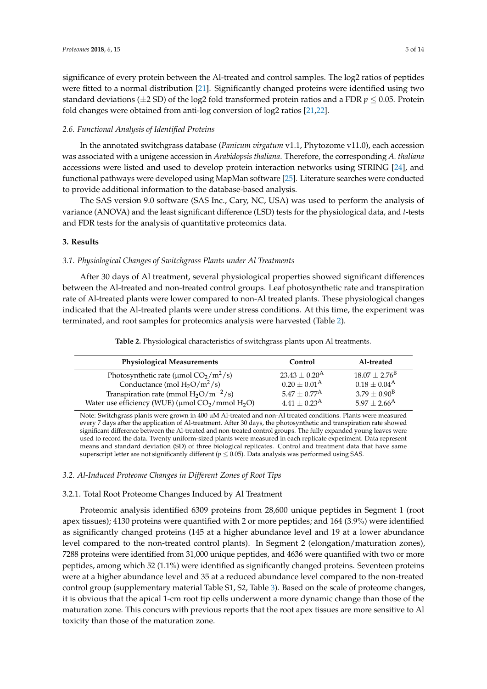significance of every protein between the Al-treated and control samples. The log2 ratios of peptides were fitted to a normal distribution [\[21\]](#page-12-13). Significantly changed proteins were identified using two standard deviations ( $\pm$ 2 SD) of the log2 fold transformed protein ratios and a FDR  $p \leq 0.05$ . Protein fold changes were obtained from anti-log conversion of log2 ratios [\[21](#page-12-13)[,22\]](#page-13-0).

#### *2.6. Functional Analysis of Identified Proteins*

In the annotated switchgrass database (*Panicum virgatum* v1.1, Phytozome v11.0), each accession was associated with a unigene accession in *Arabidopsis thaliana*. Therefore, the corresponding *A. thaliana* accessions were listed and used to develop protein interaction networks using STRING [\[24\]](#page-13-2), and functional pathways were developed using MapMan software [\[25\]](#page-13-3). Literature searches were conducted to provide additional information to the database-based analysis.

The SAS version 9.0 software (SAS Inc., Cary, NC, USA) was used to perform the analysis of variance (ANOVA) and the least significant difference (LSD) tests for the physiological data, and *t*-tests and FDR tests for the analysis of quantitative proteomics data.

#### **3. Results**

#### *3.1. Physiological Changes of Switchgrass Plants under Al Treatments*

After 30 days of Al treatment, several physiological properties showed significant differences between the Al-treated and non-treated control groups. Leaf photosynthetic rate and transpiration rate of Al-treated plants were lower compared to non-Al treated plants. These physiological changes indicated that the Al-treated plants were under stress conditions. At this time, the experiment was terminated, and root samples for proteomics analysis were harvested (Table [2\)](#page-6-0).

<span id="page-6-0"></span>

| <b>Physiological Measurements</b>                                              | Control                 | Al-treated                   |
|--------------------------------------------------------------------------------|-------------------------|------------------------------|
| Photosynthetic rate ( $\mu$ mol CO <sub>2</sub> /m <sup>2</sup> /s)            | $23.43 + 0.20^{\rm A}$  | $18.07 \pm 2.76^{\rm B}$     |
| Conductance (mol $H_2O/m^2/s$ )                                                | $0.20 \pm 0.01^{\rm A}$ | $0.18 \pm 0.04^{\rm A}$      |
| Transpiration rate (mmol $H_2O/m^{-2}/s$ )                                     | $5.47 + 0.77^{\rm A}$   | $3.79 \pm 0.90^{\rm B}$      |
| Water use efficiency (WUE) ( $\mu$ mol CO <sub>2</sub> /mmol H <sub>2</sub> O) | $4.41 \pm 0.23^{\rm A}$ | $5.97 \pm 2.66$ <sup>A</sup> |

**Table 2.** Physiological characteristics of switchgrass plants upon Al treatments.

Note: Switchgrass plants were grown in 400 µM Al-treated and non-Al treated conditions. Plants were measured every 7 days after the application of Al-treatment. After 30 days, the photosynthetic and transpiration rate showed significant difference between the Al-treated and non-treated control groups. The fully expanded young leaves were used to record the data. Twenty uniform-sized plants were measured in each replicate experiment. Data represent means and standard deviation (SD) of three biological replicates. Control and treatment data that have same superscript letter are not significantly different ( $p \leq 0.05$ ). Data analysis was performed using SAS.

#### *3.2. Al-Induced Proteome Changes in Different Zones of Root Tips*

#### 3.2.1. Total Root Proteome Changes Induced by Al Treatment

Proteomic analysis identified 6309 proteins from 28,600 unique peptides in Segment 1 (root apex tissues); 4130 proteins were quantified with 2 or more peptides; and 164 (3.9%) were identified as significantly changed proteins (145 at a higher abundance level and 19 at a lower abundance level compared to the non-treated control plants). In Segment 2 (elongation/maturation zones), 7288 proteins were identified from 31,000 unique peptides, and 4636 were quantified with two or more peptides, among which 52 (1.1%) were identified as significantly changed proteins. Seventeen proteins were at a higher abundance level and 35 at a reduced abundance level compared to the non-treated control group (supplementary material Table S1, S2, Table [3\)](#page-7-0). Based on the scale of proteome changes, it is obvious that the apical 1-cm root tip cells underwent a more dynamic change than those of the maturation zone. This concurs with previous reports that the root apex tissues are more sensitive to Al toxicity than those of the maturation zone.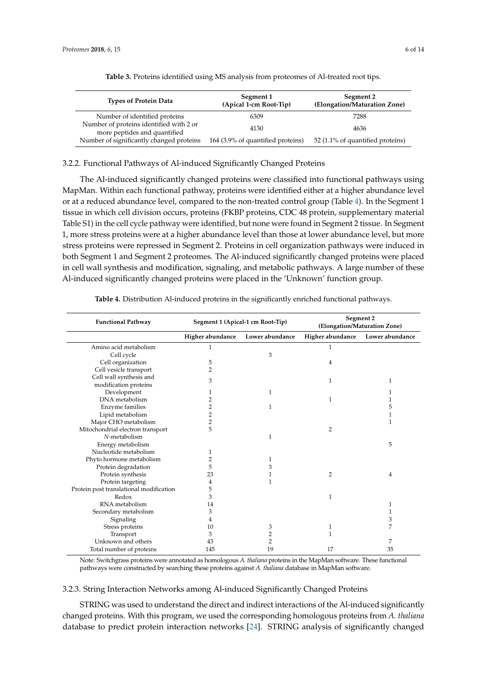<span id="page-7-0"></span>

| <b>Types of Protein Data</b>                                            | Segment 1<br>(Apical 1-cm Root-Tip) | Segment 2<br>(Elongation/Maturation Zone) |  |
|-------------------------------------------------------------------------|-------------------------------------|-------------------------------------------|--|
| Number of identified proteins                                           | 6309                                | 7288                                      |  |
| Number of proteins identified with 2 or<br>more peptides and quantified | 4130                                | 4636                                      |  |
| Number of significantly changed proteins                                | 164 (3.9% of quantified proteins)   | 52 (1.1% of quantified proteins)          |  |

**Table 3.** Proteins identified using MS analysis from proteomes of Al-treated root tips.

#### 3.2.2. Functional Pathways of Al-induced Significantly Changed Proteins

The Al-induced significantly changed proteins were classified into functional pathways using MapMan. Within each functional pathway, proteins were identified either at a higher abundance level or at a reduced abundance level, compared to the non-treated control group (Table [4\)](#page-7-1). In the Segment 1 tissue in which cell division occurs, proteins (FKBP proteins, CDC 48 protein, supplementary material Table S1) in the cell cycle pathway were identified, but none were found in Segment 2 tissue. In Segment 1, more stress proteins were at a higher abundance level than those at lower abundance level, but more stress proteins were repressed in Segment 2. Proteins in cell organization pathways were induced in both Segment 1 and Segment 2 proteomes. The Al-induced significantly changed proteins were placed in cell wall synthesis and modification, signaling, and metabolic pathways. A large number of these Al-induced significantly changed proteins were placed in the 'Unknown' function group.

<span id="page-7-1"></span>

| <b>Functional Pathway</b>                        | Segment 1 (Apical-1 cm Root-Tip) |                 | Segment 2<br>(Elongation/Maturation Zone) |                 |
|--------------------------------------------------|----------------------------------|-----------------|-------------------------------------------|-----------------|
|                                                  | Higher abundance                 | Lower abundance | Higher abundance                          | Lower abundance |
| Amino acid metabolism                            | $\mathbf{1}$                     |                 | 1                                         |                 |
| Cell cycle                                       |                                  | 3               |                                           |                 |
| Cell organization                                | 5                                |                 | 4                                         |                 |
| Cell vesicle transport                           | 2                                |                 |                                           |                 |
| Cell wall synthesis and<br>modification proteins | 3                                |                 | 1                                         | 1               |
| Development                                      | 1                                | 1               |                                           | 1               |
| DNA metabolism                                   | 2                                |                 | 1                                         |                 |
| Enzyme families                                  | 2                                | 1               |                                           | 5               |
| Lipid metabolism                                 | 2                                |                 |                                           | 1               |
| Major CHO metabolism                             | 2                                |                 |                                           | 1               |
| Mitochondrial electron transport                 | 5                                |                 | 2                                         |                 |
| N-metabolism                                     |                                  | 1               |                                           |                 |
| Energy metabolism                                |                                  |                 |                                           | 5               |
| Nucleotide metabolism                            | 1                                |                 |                                           |                 |
| Phyto hormone metabolism                         | 2                                | 1               |                                           |                 |
| Protein degradation                              | 5                                | 3               |                                           |                 |
| Protein synthesis                                | 23                               | 1               | 2                                         | 4               |
| Protein targeting                                | 4                                | 1               |                                           |                 |
| Protein post translational modification          | 5                                |                 |                                           |                 |
| Redox                                            | 3                                |                 | 1                                         |                 |
| RNA metabolism                                   | 14                               |                 |                                           | 1               |
| Secondary metabolism                             | 3                                |                 |                                           | 1               |
| Signaling                                        | 4                                |                 |                                           | 3               |
| Stress proteins                                  | 10                               | 3               | 1                                         | 7               |
| Transport                                        | 3                                | 2               | 1                                         |                 |
| Unknown and others                               | 43                               | 2               |                                           | 7               |
| Total number of proteins                         | 145                              | 19              | 17                                        | 35              |

**Table 4.** Distribution Al-induced proteins in the significantly enriched functional pathways.

Note: Switchgrass proteins were annotated as homologous *A. thaliana* proteins in the MapMan software. These functional pathways were constructed by searching these proteins against *A. thaliana* database in MapMan software.

#### 3.2.3. String Interaction Networks among Al-induced Significantly Changed Proteins

STRING was used to understand the direct and indirect interactions of the Al-induced significantly changed proteins. With this program, we used the corresponding homologous proteins from *A. thaliana* database to predict protein interaction networks [\[24\]](#page-13-2). STRING analysis of significantly changed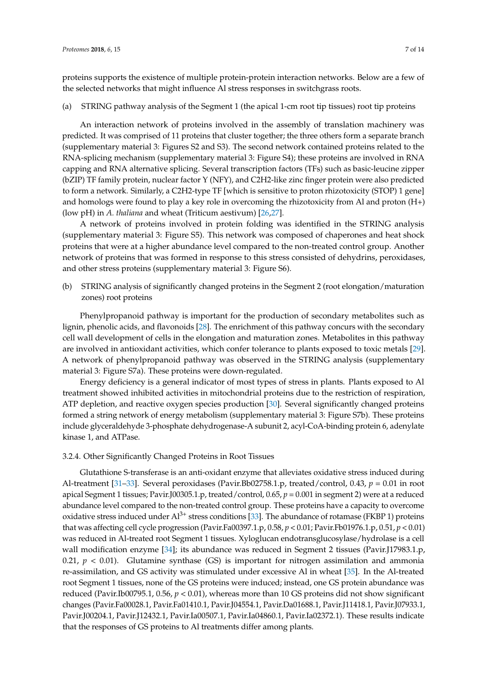proteins supports the existence of multiple protein-protein interaction networks. Below are a few of the selected networks that might influence Al stress responses in switchgrass roots.

(a) STRING pathway analysis of the Segment 1 (the apical 1-cm root tip tissues) root tip proteins

An interaction network of proteins involved in the assembly of translation machinery was predicted. It was comprised of 11 proteins that cluster together; the three others form a separate branch (supplementary material 3: Figures S2 and S3). The second network contained proteins related to the RNA-splicing mechanism (supplementary material 3: Figure S4); these proteins are involved in RNA capping and RNA alternative splicing. Several transcription factors (TFs) such as basic-leucine zipper (bZIP) TF family protein, nuclear factor Y (NFY), and C2H2-like zinc finger protein were also predicted to form a network. Similarly, a C2H2-type TF [which is sensitive to proton rhizotoxicity (STOP) 1 gene] and homologs were found to play a key role in overcoming the rhizotoxicity from Al and proton (H+) (low pH) in *A. thaliana* and wheat (Triticum aestivum) [\[26,](#page-13-4)[27\]](#page-13-5).

A network of proteins involved in protein folding was identified in the STRING analysis (supplementary material 3: Figure S5). This network was composed of chaperones and heat shock proteins that were at a higher abundance level compared to the non-treated control group. Another network of proteins that was formed in response to this stress consisted of dehydrins, peroxidases, and other stress proteins (supplementary material 3: Figure S6).

(b) STRING analysis of significantly changed proteins in the Segment 2 (root elongation/maturation zones) root proteins

Phenylpropanoid pathway is important for the production of secondary metabolites such as lignin, phenolic acids, and flavonoids [\[28\]](#page-13-6). The enrichment of this pathway concurs with the secondary cell wall development of cells in the elongation and maturation zones. Metabolites in this pathway are involved in antioxidant activities, which confer tolerance to plants exposed to toxic metals [\[29\]](#page-13-7). A network of phenylpropanoid pathway was observed in the STRING analysis (supplementary material 3: Figure S7a). These proteins were down-regulated.

Energy deficiency is a general indicator of most types of stress in plants. Plants exposed to Al treatment showed inhibited activities in mitochondrial proteins due to the restriction of respiration, ATP depletion, and reactive oxygen species production [\[30\]](#page-13-8). Several significantly changed proteins formed a string network of energy metabolism (supplementary material 3: Figure S7b). These proteins include glyceraldehyde 3-phosphate dehydrogenase-A subunit 2, acyl-CoA-binding protein 6, adenylate kinase 1, and ATPase.

3.2.4. Other Significantly Changed Proteins in Root Tissues

Glutathione S-transferase is an anti-oxidant enzyme that alleviates oxidative stress induced during Al-treatment [\[31–](#page-13-9)[33\]](#page-13-10). Several peroxidases (Pavir.Bb02758.1.p, treated/control, 0.43, *p* = 0.01 in root apical Segment 1 tissues; Pavir.J00305.1.p, treated/control, 0.65, *p* = 0.001 in segment 2) were at a reduced abundance level compared to the non-treated control group. These proteins have a capacity to overcome oxidative stress induced under  $Al^{3+}$  stress conditions [\[33\]](#page-13-10). The abundance of rotamase (FKBP 1) proteins that was affecting cell cycle progression (Pavir.Fa00397.1.p, 0.58, *p* < 0.01; Pavir.Fb01976.1.p, 0.51, *p* < 0.01) was reduced in Al-treated root Segment 1 tissues. Xyloglucan endotransglucosylase/hydrolase is a cell wall modification enzyme [\[34\]](#page-13-11); its abundance was reduced in Segment 2 tissues (Pavir.J17983.1.p, 0.21,  $p < 0.01$ ). Glutamine synthase (GS) is important for nitrogen assimilation and ammonia re-assimilation, and GS activity was stimulated under excessive Al in wheat [\[35\]](#page-13-12). In the Al-treated root Segment 1 tissues, none of the GS proteins were induced; instead, one GS protein abundance was reduced (Pavir.Ib00795.1, 0.56, *p* < 0.01), whereas more than 10 GS proteins did not show significant changes (Pavir.Fa00028.1, Pavir.Fa01410.1, Pavir.J04554.1, Pavir.Da01688.1, Pavir.J11418.1, Pavir.J07933.1, Pavir.J00204.1, Pavir.J12432.1, Pavir.Ia00507.1, Pavir.Ia04860.1, Pavir.Ia02372.1). These results indicate that the responses of GS proteins to Al treatments differ among plants.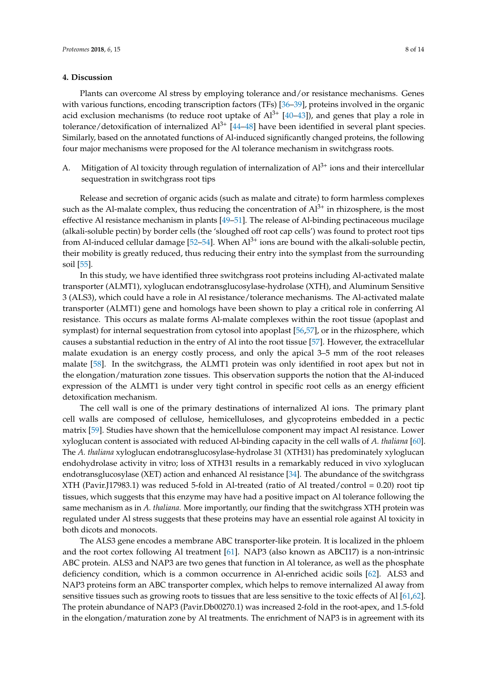#### **4. Discussion**

Plants can overcome Al stress by employing tolerance and/or resistance mechanisms. Genes with various functions, encoding transcription factors (TFs) [\[36](#page-13-13)[–39\]](#page-13-14), proteins involved in the organic acid exclusion mechanisms (to reduce root uptake of  $Al^{3+}$   $[40-43]$  $[40-43]$ ), and genes that play a role in tolerance/detoxification of internalized  $Al^{3+}$   $[44–48]$  $[44–48]$  have been identified in several plant species. Similarly, based on the annotated functions of Al-induced significantly changed proteins, the following four major mechanisms were proposed for the Al tolerance mechanism in switchgrass roots.

A. Mitigation of Al toxicity through regulation of internalization of  $Al^{3+}$  ions and their intercellular sequestration in switchgrass root tips

Release and secretion of organic acids (such as malate and citrate) to form harmless complexes such as the Al-malate complex, thus reducing the concentration of  $Al<sup>3+</sup>$  in rhizosphere, is the most effective Al resistance mechanism in plants [\[49](#page-14-4)[–51\]](#page-14-5). The release of Al-binding pectinaceous mucilage (alkali-soluble pectin) by border cells (the 'sloughed off root cap cells') was found to protect root tips from Al-induced cellular damage  $[52-54]$  $[52-54]$ . When  $Al^{3+}$  ions are bound with the alkali-soluble pectin, their mobility is greatly reduced, thus reducing their entry into the symplast from the surrounding soil [\[55\]](#page-14-8).

In this study, we have identified three switchgrass root proteins including Al-activated malate transporter (ALMT1), xyloglucan endotransglucosylase-hydrolase (XTH), and Aluminum Sensitive 3 (ALS3), which could have a role in Al resistance/tolerance mechanisms. The Al-activated malate transporter (ALMT1) gene and homologs have been shown to play a critical role in conferring Al resistance. This occurs as malate forms Al-malate complexes within the root tissue (apoplast and symplast) for internal sequestration from cytosol into apoplast [\[56](#page-14-9)[,57\]](#page-14-10), or in the rhizosphere, which causes a substantial reduction in the entry of Al into the root tissue [\[57\]](#page-14-10). However, the extracellular malate exudation is an energy costly process, and only the apical 3–5 mm of the root releases malate [\[58\]](#page-14-11). In the switchgrass, the ALMT1 protein was only identified in root apex but not in the elongation/maturation zone tissues. This observation supports the notion that the Al-induced expression of the ALMT1 is under very tight control in specific root cells as an energy efficient detoxification mechanism.

The cell wall is one of the primary destinations of internalized Al ions. The primary plant cell walls are composed of cellulose, hemicelluloses, and glycoproteins embedded in a pectic matrix [\[59\]](#page-15-0). Studies have shown that the hemicellulose component may impact Al resistance. Lower xyloglucan content is associated with reduced Al-binding capacity in the cell walls of *A. thaliana* [\[60\]](#page-15-1). The *A. thaliana* xyloglucan endotransglucosylase-hydrolase 31 (XTH31) has predominately xyloglucan endohydrolase activity in vitro; loss of XTH31 results in a remarkably reduced in vivo xyloglucan endotransglucosylase (XET) action and enhanced Al resistance [\[34\]](#page-13-11). The abundance of the switchgrass XTH (Pavir.J17983.1) was reduced 5-fold in Al-treated (ratio of Al treated/control = 0.20) root tip tissues, which suggests that this enzyme may have had a positive impact on Al tolerance following the same mechanism as in *A. thaliana*. More importantly, our finding that the switchgrass XTH protein was regulated under Al stress suggests that these proteins may have an essential role against Al toxicity in both dicots and monocots.

The ALS3 gene encodes a membrane ABC transporter-like protein. It is localized in the phloem and the root cortex following Al treatment [\[61\]](#page-15-2). NAP3 (also known as ABCI17) is a non-intrinsic ABC protein. ALS3 and NAP3 are two genes that function in Al tolerance, as well as the phosphate deficiency condition, which is a common occurrence in Al-enriched acidic soils [\[62\]](#page-15-3). ALS3 and NAP3 proteins form an ABC transporter complex, which helps to remove internalized Al away from sensitive tissues such as growing roots to tissues that are less sensitive to the toxic effects of Al [\[61](#page-15-2)[,62\]](#page-15-3). The protein abundance of NAP3 (Pavir.Db00270.1) was increased 2-fold in the root-apex, and 1.5-fold in the elongation/maturation zone by Al treatments. The enrichment of NAP3 is in agreement with its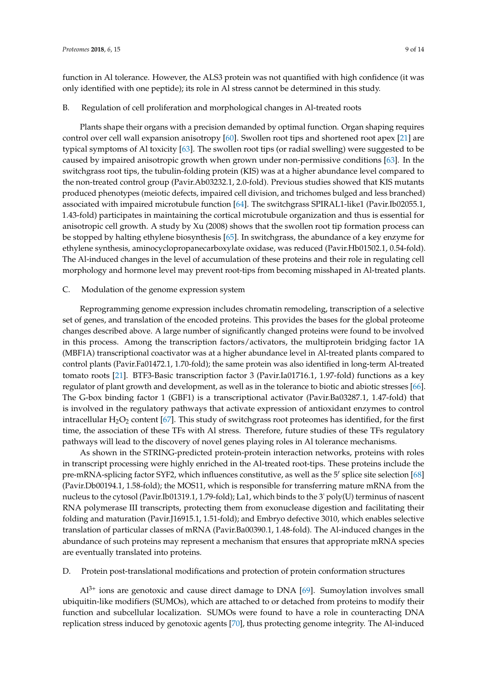function in Al tolerance. However, the ALS3 protein was not quantified with high confidence (it was only identified with one peptide); its role in Al stress cannot be determined in this study.

#### B. Regulation of cell proliferation and morphological changes in Al-treated roots

Plants shape their organs with a precision demanded by optimal function. Organ shaping requires control over cell wall expansion anisotropy [\[60\]](#page-15-1). Swollen root tips and shortened root apex [\[21\]](#page-12-13) are typical symptoms of Al toxicity [\[63\]](#page-15-4). The swollen root tips (or radial swelling) were suggested to be caused by impaired anisotropic growth when grown under non-permissive conditions [\[63\]](#page-15-4). In the switchgrass root tips, the tubulin-folding protein (KIS) was at a higher abundance level compared to the non-treated control group (Pavir.Ab03232.1, 2.0-fold). Previous studies showed that KIS mutants produced phenotypes (meiotic defects, impaired cell division, and trichomes bulged and less branched) associated with impaired microtubule function [\[64\]](#page-15-5). The switchgrass SPIRAL1-like1 (Pavir.Ib02055.1, 1.43-fold) participates in maintaining the cortical microtubule organization and thus is essential for anisotropic cell growth. A study by Xu (2008) shows that the swollen root tip formation process can be stopped by halting ethylene biosynthesis [\[65\]](#page-15-6). In switchgrass, the abundance of a key enzyme for ethylene synthesis, aminocyclopropanecarboxylate oxidase, was reduced (Pavir.Hb01502.1, 0.54-fold). The Al-induced changes in the level of accumulation of these proteins and their role in regulating cell morphology and hormone level may prevent root-tips from becoming misshaped in Al-treated plants.

#### C. Modulation of the genome expression system

Reprogramming genome expression includes chromatin remodeling, transcription of a selective set of genes, and translation of the encoded proteins. This provides the bases for the global proteome changes described above. A large number of significantly changed proteins were found to be involved in this process. Among the transcription factors/activators, the multiprotein bridging factor 1A (MBF1A) transcriptional coactivator was at a higher abundance level in Al-treated plants compared to control plants (Pavir.Fa01472.1, 1.70-fold); the same protein was also identified in long-term Al-treated tomato roots [\[21\]](#page-12-13). BTF3-Basic transcription factor 3 (Pavir.Ia01716.1, 1.97-fold) functions as a key regulator of plant growth and development, as well as in the tolerance to biotic and abiotic stresses [\[66\]](#page-15-7). The G-box binding factor 1 (GBF1) is a transcriptional activator (Pavir.Ba03287.1, 1.47-fold) that is involved in the regulatory pathways that activate expression of antioxidant enzymes to control intracellular  $H_2O_2$  content [\[67\]](#page-15-8). This study of switchgrass root proteomes has identified, for the first time, the association of these TFs with Al stress. Therefore, future studies of these TFs regulatory pathways will lead to the discovery of novel genes playing roles in Al tolerance mechanisms.

As shown in the STRING-predicted protein-protein interaction networks, proteins with roles in transcript processing were highly enriched in the Al-treated root-tips. These proteins include the pre-mRNA-splicing factor SYF2, which influences constitutive, as well as the 5' splice site selection [\[68\]](#page-15-9) (Pavir.Db00194.1, 1.58-fold); the MOS11, which is responsible for transferring mature mRNA from the nucleus to the cytosol (Pavir.Ib01319.1, 1.79-fold); La1, which binds to the 3' poly(U) terminus of nascent RNA polymerase III transcripts, protecting them from exonuclease digestion and facilitating their folding and maturation (Pavir.J16915.1, 1.51-fold); and Embryo defective 3010, which enables selective translation of particular classes of mRNA (Pavir.Ba00390.1, 1.48-fold). The Al-induced changes in the abundance of such proteins may represent a mechanism that ensures that appropriate mRNA species are eventually translated into proteins.

D. Protein post-translational modifications and protection of protein conformation structures

 $Al^{3+}$  ions are genotoxic and cause direct damage to DNA [\[69\]](#page-15-10). Sumoylation involves small ubiquitin-like modifiers (SUMOs), which are attached to or detached from proteins to modify their function and subcellular localization. SUMOs were found to have a role in counteracting DNA replication stress induced by genotoxic agents [\[70\]](#page-15-11), thus protecting genome integrity. The Al-induced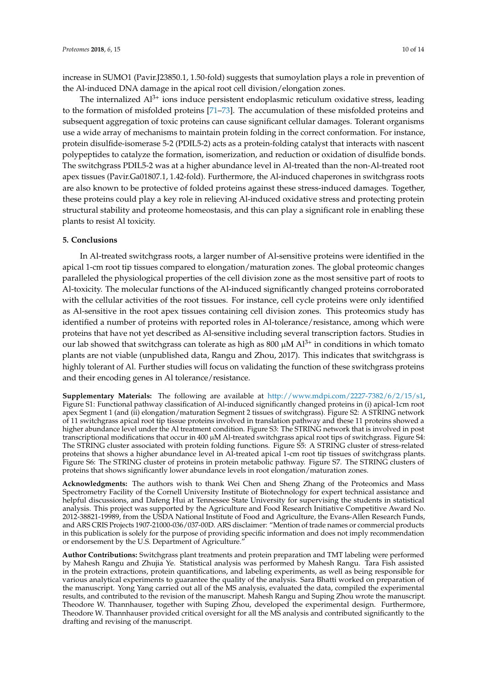increase in SUMO1 (Pavir.J23850.1, 1.50-fold) suggests that sumoylation plays a role in prevention of the Al-induced DNA damage in the apical root cell division/elongation zones.

The internalized  $Al^{3+}$  ions induce persistent endoplasmic reticulum oxidative stress, leading to the formation of misfolded proteins [\[71](#page-15-12)[–73\]](#page-15-13). The accumulation of these misfolded proteins and subsequent aggregation of toxic proteins can cause significant cellular damages. Tolerant organisms use a wide array of mechanisms to maintain protein folding in the correct conformation. For instance, protein disulfide-isomerase 5-2 (PDIL5-2) acts as a protein-folding catalyst that interacts with nascent polypeptides to catalyze the formation, isomerization, and reduction or oxidation of disulfide bonds. The switchgrass PDIL5-2 was at a higher abundance level in Al-treated than the non-Al-treated root apex tissues (Pavir.Ga01807.1, 1.42-fold). Furthermore, the Al-induced chaperones in switchgrass roots are also known to be protective of folded proteins against these stress-induced damages. Together, these proteins could play a key role in relieving Al-induced oxidative stress and protecting protein structural stability and proteome homeostasis, and this can play a significant role in enabling these plants to resist Al toxicity.

#### **5. Conclusions**

In Al-treated switchgrass roots, a larger number of Al-sensitive proteins were identified in the apical 1-cm root tip tissues compared to elongation/maturation zones. The global proteomic changes paralleled the physiological properties of the cell division zone as the most sensitive part of roots to Al-toxicity. The molecular functions of the Al-induced significantly changed proteins corroborated with the cellular activities of the root tissues. For instance, cell cycle proteins were only identified as Al-sensitive in the root apex tissues containing cell division zones. This proteomics study has identified a number of proteins with reported roles in Al-tolerance/resistance, among which were proteins that have not yet described as Al-sensitive including several transcription factors. Studies in our lab showed that switchgrass can tolerate as high as 800  $\mu$ M Al<sup>3+</sup> in conditions in which tomato plants are not viable (unpublished data, Rangu and Zhou, 2017). This indicates that switchgrass is highly tolerant of Al. Further studies will focus on validating the function of these switchgrass proteins and their encoding genes in Al tolerance/resistance.

**Supplementary Materials:** The following are available at [http://www.mdpi.com/2227-7382/6/2/15/s1,](http://www.mdpi.com/2227-7382/6/2/15/s1) Figure S1: Functional pathway classification of Al-induced significantly changed proteins in (i) apical-1cm root apex Segment 1 (and (ii) elongation/maturation Segment 2 tissues of switchgrass). Figure S2: A STRING network of 11 switchgrass apical root tip tissue proteins involved in translation pathway and these 11 proteins showed a higher abundance level under the Al treatment condition. Figure S3: The STRING network that is involved in post transcriptional modifications that occur in 400 µM Al-treated switchgrass apical root tips of switchgrass. Figure S4: The STRING cluster associated with protein folding functions. Figure S5: A STRING cluster of stress-related proteins that shows a higher abundance level in Al-treated apical 1-cm root tip tissues of switchgrass plants. Figure S6: The STRING cluster of proteins in protein metabolic pathway. Figure S7. The STRING clusters of proteins that shows significantly lower abundance levels in root elongation/maturation zones.

**Acknowledgments:** The authors wish to thank Wei Chen and Sheng Zhang of the Proteomics and Mass Spectrometry Facility of the Cornell University Institute of Biotechnology for expert technical assistance and helpful discussions, and Dafeng Hui at Tennessee State University for supervising the students in statistical analysis. This project was supported by the Agriculture and Food Research Initiative Competitive Award No. 2012-38821-19989, from the USDA National Institute of Food and Agriculture, the Evans-Allen Research Funds, and ARS CRIS Projects 1907-21000-036/037-00D. ARS disclaimer: "Mention of trade names or commercial products in this publication is solely for the purpose of providing specific information and does not imply recommendation or endorsement by the U.S. Department of Agriculture.

**Author Contributions:** Switchgrass plant treatments and protein preparation and TMT labeling were performed by Mahesh Rangu and Zhujia Ye. Statistical analysis was performed by Mahesh Rangu. Tara Fish assisted in the protein extractions, protein quantifications, and labeling experiments, as well as being responsible for various analytical experiments to guarantee the quality of the analysis. Sara Bhatti worked on preparation of the manuscript. Yong Yang carried out all of the MS analysis, evaluated the data, compiled the experimental results, and contributed to the revision of the manuscript. Mahesh Rangu and Suping Zhou wrote the manuscript. Theodore W. Thannhauser, together with Suping Zhou, developed the experimental design. Furthermore, Theodore W. Thannhauser provided critical oversight for all the MS analysis and contributed significantly to the drafting and revising of the manuscript.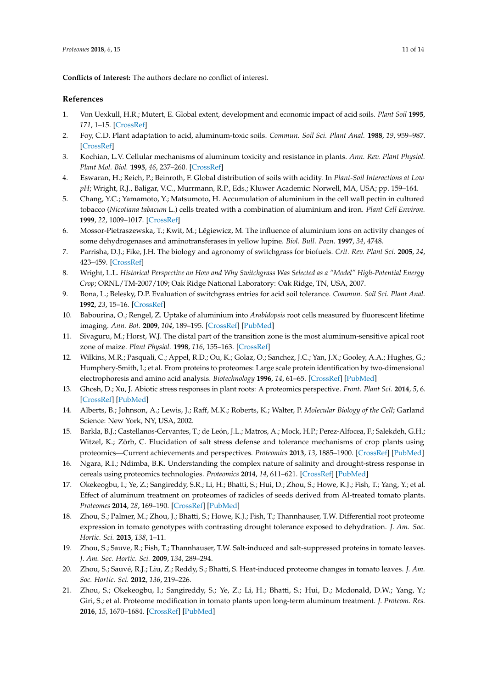**Conflicts of Interest:** The authors declare no conflict of interest.

#### **References**

- <span id="page-12-0"></span>1. Von Uexkull, H.R.; Mutert, E. Global extent, development and economic impact of acid soils. *Plant Soil* **1995**, *171*, 1–15. [\[CrossRef\]](http://dx.doi.org/10.1007/BF00009558)
- <span id="page-12-1"></span>2. Foy, C.D. Plant adaptation to acid, aluminum-toxic soils. *Commun. Soil Sci. Plant Anal.* **1988**, *19*, 959–987. [\[CrossRef\]](http://dx.doi.org/10.1080/00103628809367988)
- 3. Kochian, L.V. Cellular mechanisms of aluminum toxicity and resistance in plants. *Ann. Rev. Plant Physiol. Plant Mol. Biol.* **1995**, *46*, 237–260. [\[CrossRef\]](http://dx.doi.org/10.1146/annurev.pp.46.060195.001321)
- <span id="page-12-2"></span>4. Eswaran, H.; Reich, P.; Beinroth, F. Global distribution of soils with acidity. In *Plant-Soil Interactions at Low pH*; Wright, R.J., Baligar, V.C., Murrmann, R.P., Eds.; Kluwer Academic: Norwell, MA, USA; pp. 159–164.
- <span id="page-12-3"></span>5. Chang, Y.C.; Yamamoto, Y.; Matsumoto, H. Accumulation of aluminium in the cell wall pectin in cultured tobacco (*Nicotiana tabacum* L.) cells treated with a combination of aluminium and iron. *Plant Cell Environ.* **1999**, *22*, 1009–1017. [\[CrossRef\]](http://dx.doi.org/10.1046/j.1365-3040.1999.00467.x)
- <span id="page-12-4"></span>6. Mossor-Pietraszewska, T.; Kwit, M.; Lêgiewicz, M. The influence of aluminium ions on activity changes of some dehydrogenases and aminotransferases in yellow lupine. *Biol. Bull. Pozn.* **1997**, *34*, 4748.
- <span id="page-12-5"></span>7. Parrisha, D.J.; Fike, J.H. The biology and agronomy of switchgrass for biofuels. *Crit. Rev. Plant Sci.* **2005**, *24*, 423–459. [\[CrossRef\]](http://dx.doi.org/10.1080/07352680500316433)
- <span id="page-12-6"></span>8. Wright, L.L. *Historical Perspective on How and Why Switchgrass Was Selected as a "Model" High-Potential Energy Crop*; ORNL/TM-2007/109; Oak Ridge National Laboratory: Oak Ridge, TN, USA, 2007.
- <span id="page-12-7"></span>9. Bona, L.; Belesky, D.P. Evaluation of switchgrass entries for acid soil tolerance. *Commun. Soil Sci. Plant Anal.* **1992**, *23*, 15–16. [\[CrossRef\]](http://dx.doi.org/10.1080/00103629209368707)
- <span id="page-12-8"></span>10. Babourina, O.; Rengel, Z. Uptake of aluminium into *Arabidopsis* root cells measured by fluorescent lifetime imaging. *Ann. Bot.* **2009**, *104*, 189–195. [\[CrossRef\]](http://dx.doi.org/10.1093/aob/mcp098) [\[PubMed\]](http://www.ncbi.nlm.nih.gov/pubmed/19401291)
- <span id="page-12-9"></span>11. Sivaguru, M.; Horst, W.J. The distal part of the transition zone is the most aluminum-sensitive apical root zone of maize. *Plant Physiol.* **1998**, *116*, 155–163. [\[CrossRef\]](http://dx.doi.org/10.1104/pp.116.1.155)
- <span id="page-12-10"></span>12. Wilkins, M.R.; Pasquali, C.; Appel, R.D.; Ou, K.; Golaz, O.; Sanchez, J.C.; Yan, J.X.; Gooley, A.A.; Hughes, G.; Humphery-Smith, I.; et al. From proteins to proteomes: Large scale protein identification by two-dimensional electrophoresis and amino acid analysis. *Biotechnology* **1996**, *14*, 61–65. [\[CrossRef\]](http://dx.doi.org/10.1038/nbt0196-61) [\[PubMed\]](http://www.ncbi.nlm.nih.gov/pubmed/9636313)
- <span id="page-12-11"></span>13. Ghosh, D.; Xu, J. Abiotic stress responses in plant roots: A proteomics perspective. *Front. Plant Sci.* **2014**, *5*, 6. [\[CrossRef\]](http://dx.doi.org/10.3389/fpls.2014.00006) [\[PubMed\]](http://www.ncbi.nlm.nih.gov/pubmed/24478786)
- 14. Alberts, B.; Johnson, A.; Lewis, J.; Raff, M.K.; Roberts, K.; Walter, P. *Molecular Biology of the Cell*; Garland Science: New York, NY, USA, 2002.
- 15. Barkla, B.J.; Castellanos-Cervantes, T.; de León, J.L.; Matros, A.; Mock, H.P.; Perez-Alfocea, F.; Salekdeh, G.H.; Witzel, K.; Zörb, C. Elucidation of salt stress defense and tolerance mechanisms of crop plants using proteomics—Current achievements and perspectives. *Proteomics* **2013**, *13*, 1885–1900. [\[CrossRef\]](http://dx.doi.org/10.1002/pmic.201200399) [\[PubMed\]](http://www.ncbi.nlm.nih.gov/pubmed/23723162)
- 16. Ngara, R.I.; Ndimba, B.K. Understanding the complex nature of salinity and drought-stress response in cereals using proteomics technologies. *Proteomics* **2014**, *14*, 611–621. [\[CrossRef\]](http://dx.doi.org/10.1002/pmic.201300351) [\[PubMed\]](http://www.ncbi.nlm.nih.gov/pubmed/24339029)
- 17. Okekeogbu, I.; Ye, Z.; Sangireddy, S.R.; Li, H.; Bhatti, S.; Hui, D.; Zhou, S.; Howe, K.J.; Fish, T.; Yang, Y.; et al. Effect of aluminum treatment on proteomes of radicles of seeds derived from Al-treated tomato plants. *Proteomes* **2014**, *28*, 169–190. [\[CrossRef\]](http://dx.doi.org/10.3390/proteomes2020169) [\[PubMed\]](http://www.ncbi.nlm.nih.gov/pubmed/28250376)
- 18. Zhou, S.; Palmer, M.; Zhou, J.; Bhatti, S.; Howe, K.J.; Fish, T.; Thannhauser, T.W. Differential root proteome expression in tomato genotypes with contrasting drought tolerance exposed to dehydration. *J. Am. Soc. Hortic. Sci.* **2013**, *138*, 1–11.
- 19. Zhou, S.; Sauve, R.; Fish, T.; Thannhauser, T.W. Salt-induced and salt-suppressed proteins in tomato leaves. *J. Am. Soc. Hortic. Sci.* **2009**, *134*, 289–294.
- <span id="page-12-12"></span>20. Zhou, S.; Sauvé, R.J.; Liu, Z.; Reddy, S.; Bhatti, S. Heat-induced proteome changes in tomato leaves. *J. Am. Soc. Hortic. Sci.* **2012**, *136*, 219–226.
- <span id="page-12-13"></span>21. Zhou, S.; Okekeogbu, I.; Sangireddy, S.; Ye, Z.; Li, H.; Bhatti, S.; Hui, D.; Mcdonald, D.W.; Yang, Y.; Giri, S.; et al. Proteome modification in tomato plants upon long-term aluminum treatment. *J. Proteom. Res.* **2016**, *15*, 1670–1684. [\[CrossRef\]](http://dx.doi.org/10.1021/acs.jproteome.6b00128) [\[PubMed\]](http://www.ncbi.nlm.nih.gov/pubmed/27052409)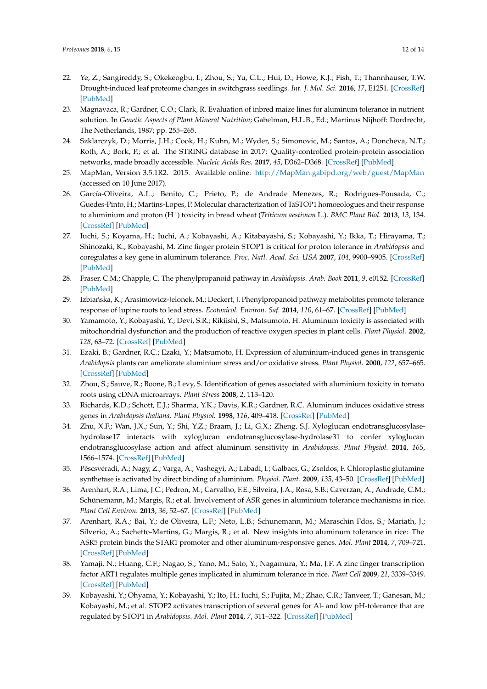- <span id="page-13-0"></span>22. Ye, Z.; Sangireddy, S.; Okekeogbu, I.; Zhou, S.; Yu, C.L.; Hui, D.; Howe, K.J.; Fish, T.; Thannhauser, T.W. Drought-induced leaf proteome changes in switchgrass seedlings. *Int. J. Mol. Sci.* **2016**, *17*, E1251. [\[CrossRef\]](http://dx.doi.org/10.3390/ijms17081251) [\[PubMed\]](http://www.ncbi.nlm.nih.gov/pubmed/27490537)
- <span id="page-13-1"></span>23. Magnavaca, R.; Gardner, C.O.; Clark, R. Evaluation of inbred maize lines for aluminum tolerance in nutrient solution. In *Genetic Aspects of Plant Mineral Nutrition*; Gabelman, H.L.B., Ed.; Martinus Nijhoff: Dordrecht, The Netherlands, 1987; pp. 255–265.
- <span id="page-13-2"></span>24. Szklarczyk, D.; Morris, J.H.; Cook, H.; Kuhn, M.; Wyder, S.; Simonovic, M.; Santos, A.; Doncheva, N.T.; Roth, A.; Bork, P.; et al. The STRING database in 2017: Quality-controlled protein-protein association networks, made broadly accessible. *Nucleic Acids Res.* **2017**, *45*, D362–D368. [\[CrossRef\]](http://dx.doi.org/10.1093/nar/gkw937) [\[PubMed\]](http://www.ncbi.nlm.nih.gov/pubmed/27924014)
- <span id="page-13-3"></span>25. MapMan, Version 3.5.1R2. 2015. Available online: <http://MapMan.gabipd.org/web/guest/MapMan> (accessed on 10 June 2017).
- <span id="page-13-4"></span>26. García-Oliveira, A.L.; Benito, C.; Prieto, P.; de Andrade Menezes, R.; Rodrigues-Pousada, C.; Guedes-Pinto, H.; Martins-Lopes, P. Molecular characterization of TaSTOP1 homoeologues and their response to aluminium and proton (H<sup>+</sup> ) toxicity in bread wheat (*Triticum aestivum* L.). *BMC Plant Biol.* **2013**, *13*, 134. [\[CrossRef\]](http://dx.doi.org/10.1186/1471-2229-13-134) [\[PubMed\]](http://www.ncbi.nlm.nih.gov/pubmed/24034075)
- <span id="page-13-5"></span>27. Iuchi, S.; Koyama, H.; Iuchi, A.; Kobayashi, A.; Kitabayashi, S.; Kobayashi, Y.; Ikka, T.; Hirayama, T.; Shinozaki, K.; Kobayashi, M. Zinc finger protein STOP1 is critical for proton tolerance in *Arabidopsis* and coregulates a key gene in aluminum tolerance. *Proc. Natl. Acad. Sci. USA* **2007**, *104*, 9900–9905. [\[CrossRef\]](http://dx.doi.org/10.1073/pnas.0700117104) [\[PubMed\]](http://www.ncbi.nlm.nih.gov/pubmed/17535918)
- <span id="page-13-6"></span>28. Fraser, C.M.; Chapple, C. The phenylpropanoid pathway in *Arabidopsis*. *Arab. Book* **2011**, *9*, e0152. [\[CrossRef\]](http://dx.doi.org/10.1199/tab.0152) [\[PubMed\]](http://www.ncbi.nlm.nih.gov/pubmed/22303276)
- <span id="page-13-7"></span>29. Izbiańska, K.; Arasimowicz-Jelonek, M.; Deckert, J. Phenylpropanoid pathway metabolites promote tolerance response of lupine roots to lead stress. *Ecotoxicol. Environ. Saf.* **2014**, *110*, 61–67. [\[CrossRef\]](http://dx.doi.org/10.1016/j.ecoenv.2014.08.014) [\[PubMed\]](http://www.ncbi.nlm.nih.gov/pubmed/25194698)
- <span id="page-13-8"></span>30. Yamamoto, Y.; Kobayashi, Y.; Devi, S.R.; Rikiishi, S.; Matsumoto, H. Aluminum toxicity is associated with mitochondrial dysfunction and the production of reactive oxygen species in plant cells. *Plant Physiol.* **2002**, *128*, 63–72. [\[CrossRef\]](http://dx.doi.org/10.1104/pp.010417) [\[PubMed\]](http://www.ncbi.nlm.nih.gov/pubmed/11788753)
- <span id="page-13-9"></span>31. Ezaki, B.; Gardner, R.C.; Ezaki, Y.; Matsumoto, H. Expression of aluminium-induced genes in transgenic *Arabidopsis* plants can ameliorate aluminium stress and/or oxidative stress. *Plant Physiol.* **2000**, *122*, 657–665. [\[CrossRef\]](http://dx.doi.org/10.1104/pp.122.3.657) [\[PubMed\]](http://www.ncbi.nlm.nih.gov/pubmed/10712528)
- 32. Zhou, S.; Sauve, R.; Boone, B.; Levy, S. Identification of genes associated with aluminium toxicity in tomato roots using cDNA microarrays. *Plant Stress* **2008**, *2*, 113–120.
- <span id="page-13-10"></span>33. Richards, K.D.; Schott, E.J.; Sharma, Y.K.; Davis, K.R.; Gardner, R.C. Aluminum induces oxidative stress genes in *Arabidopsis thaliana*. *Plant Physiol.* **1998**, *116*, 409–418. [\[CrossRef\]](http://dx.doi.org/10.1104/pp.116.1.409) [\[PubMed\]](http://www.ncbi.nlm.nih.gov/pubmed/9449849)
- <span id="page-13-11"></span>34. Zhu, X.F.; Wan, J.X.; Sun, Y.; Shi, Y.Z.; Braam, J.; Li, G.X.; Zheng, S.J. Xyloglucan endotransglucosylasehydrolase17 interacts with xyloglucan endotransglucosylase-hydrolase31 to confer xyloglucan endotransglucosylase action and affect aluminum sensitivity in *Arabidopsis*. *Plant Physiol.* **2014**, *165*, 1566–1574. [\[CrossRef\]](http://dx.doi.org/10.1104/pp.114.243790) [\[PubMed\]](http://www.ncbi.nlm.nih.gov/pubmed/24948835)
- <span id="page-13-12"></span>35. Péscsvéradi, A.; Nagy, Z.; Varga, A.; Vashegyi, A.; Labadi, I.; Galbacs, G.; Zsoldos, F. Chloroplastic glutamine synthetase is activated by direct binding of aluminium. *Physiol. Plant.* **2009**, *135*, 43–50. [\[CrossRef\]](http://dx.doi.org/10.1111/j.1399-3054.2008.01167.x) [\[PubMed\]](http://www.ncbi.nlm.nih.gov/pubmed/19121098)
- <span id="page-13-13"></span>36. Arenhart, R.A.; Lima, J.C.; Pedron, M.; Carvalho, F.E.; Silveira, J.A.; Rosa, S.B.; Caverzan, A.; Andrade, C.M.; Schünemann, M.; Margis, R.; et al. Involvement of ASR genes in aluminium tolerance mechanisms in rice. *Plant Cell Environ.* **2013**, *36*, 52–67. [\[CrossRef\]](http://dx.doi.org/10.1111/j.1365-3040.2012.02553.x) [\[PubMed\]](http://www.ncbi.nlm.nih.gov/pubmed/22676236)
- 37. Arenhart, R.A.; Bai, Y.; de Oliveira, L.F.; Neto, L.B.; Schunemann, M.; Maraschin Fdos, S.; Mariath, J.; Silverio, A.; Sachetto-Martins, G.; Margis, R.; et al. New insights into aluminum tolerance in rice: The ASR5 protein binds the STAR1 promoter and other aluminum-responsive genes. *Mol. Plant* **2014**, *7*, 709–721. [\[CrossRef\]](http://dx.doi.org/10.1093/mp/sst160) [\[PubMed\]](http://www.ncbi.nlm.nih.gov/pubmed/24253199)
- 38. Yamaji, N.; Huang, C.F.; Nagao, S.; Yano, M.; Sato, Y.; Nagamura, Y.; Ma, J.F. A zinc finger transcription factor ART1 regulates multiple genes implicated in aluminum tolerance in rice. *Plant Cell* **2009**, *21*, 3339–3349. [\[CrossRef\]](http://dx.doi.org/10.1105/tpc.109.070771) [\[PubMed\]](http://www.ncbi.nlm.nih.gov/pubmed/19880795)
- <span id="page-13-14"></span>39. Kobayashi, Y.; Ohyama, Y.; Kobayashi, Y.; Ito, H.; Iuchi, S.; Fujita, M.; Zhao, C.R.; Tanveer, T.; Ganesan, M.; Kobayashi, M.; et al. STOP2 activates transcription of several genes for Al- and low pH-tolerance that are regulated by STOP1 in *Arabidopsis*. *Mol. Plant* **2014**, *7*, 311–322. [\[CrossRef\]](http://dx.doi.org/10.1093/mp/sst116) [\[PubMed\]](http://www.ncbi.nlm.nih.gov/pubmed/23935008)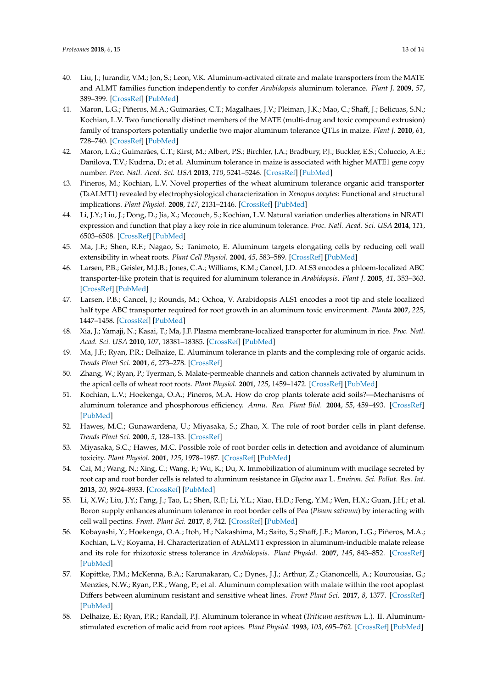- <span id="page-14-0"></span>40. Liu, J.; Jurandir, V.M.; Jon, S.; Leon, V.K. Aluminum-activated citrate and malate transporters from the MATE and ALMT families function independently to confer *Arabidopsis* aluminum tolerance. *Plant J.* **2009**, *57*, 389–399. [\[CrossRef\]](http://dx.doi.org/10.1111/j.1365-313X.2008.03696.x) [\[PubMed\]](http://www.ncbi.nlm.nih.gov/pubmed/18826429)
- 41. Maron, L.G.; Piñeros, M.A.; Guimarães, C.T.; Magalhaes, J.V.; Pleiman, J.K.; Mao, C.; Shaff, J.; Belicuas, S.N.; Kochian, L.V. Two functionally distinct members of the MATE (multi-drug and toxic compound extrusion) family of transporters potentially underlie two major aluminum tolerance QTLs in maize. *Plant J.* **2010**, *61*, 728–740. [\[CrossRef\]](http://dx.doi.org/10.1111/j.1365-313X.2009.04103.x) [\[PubMed\]](http://www.ncbi.nlm.nih.gov/pubmed/20003133)
- 42. Maron, L.G.; Guimarães, C.T.; Kirst, M.; Albert, P.S.; Birchler, J.A.; Bradbury, P.J.; Buckler, E.S.; Coluccio, A.E.; Danilova, T.V.; Kudrna, D.; et al. Aluminum tolerance in maize is associated with higher MATE1 gene copy number. *Proc. Natl. Acad. Sci. USA* **2013**, *110*, 5241–5246. [\[CrossRef\]](http://dx.doi.org/10.1073/pnas.1220766110) [\[PubMed\]](http://www.ncbi.nlm.nih.gov/pubmed/23479633)
- <span id="page-14-1"></span>43. Pineros, M.; Kochian, L.V. Novel properties of the wheat aluminum tolerance organic acid transporter (TaALMT1) revealed by electrophysiological characterization in *Xenopus oocytes*: Functional and structural implications. *Plant Physiol.* **2008**, *147*, 2131–2146. [\[CrossRef\]](http://dx.doi.org/10.1104/pp.108.119636) [\[PubMed\]](http://www.ncbi.nlm.nih.gov/pubmed/18550686)
- <span id="page-14-2"></span>44. Li, J.Y.; Liu, J.; Dong, D.; Jia, X.; Mccouch, S.; Kochian, L.V. Natural variation underlies alterations in NRAT1 expression and function that play a key role in rice aluminum tolerance. *Proc. Natl. Acad. Sci. USA* **2014**, *111*, 6503–6508. [\[CrossRef\]](http://dx.doi.org/10.1073/pnas.1318975111) [\[PubMed\]](http://www.ncbi.nlm.nih.gov/pubmed/24728832)
- 45. Ma, J.F.; Shen, R.F.; Nagao, S.; Tanimoto, E. Aluminum targets elongating cells by reducing cell wall extensibility in wheat roots. *Plant Cell Physiol.* **2004**, *45*, 583–589. [\[CrossRef\]](http://dx.doi.org/10.1093/pcp/pch060) [\[PubMed\]](http://www.ncbi.nlm.nih.gov/pubmed/15169940)
- 46. Larsen, P.B.; Geisler, M.J.B.; Jones, C.A.; Williams, K.M.; Cancel, J.D. ALS3 encodes a phloem-localized ABC transporter-like protein that is required for aluminum tolerance in *Arabidopsis*. *Plant J.* **2005**, *41*, 353–363. [\[CrossRef\]](http://dx.doi.org/10.1111/j.1365-313X.2004.02306.x) [\[PubMed\]](http://www.ncbi.nlm.nih.gov/pubmed/15659095)
- 47. Larsen, P.B.; Cancel, J.; Rounds, M.; Ochoa, V. Arabidopsis ALS1 encodes a root tip and stele localized half type ABC transporter required for root growth in an aluminum toxic environment. *Planta* **2007**, *225*, 1447–1458. [\[CrossRef\]](http://dx.doi.org/10.1007/s00425-006-0452-4) [\[PubMed\]](http://www.ncbi.nlm.nih.gov/pubmed/17171374)
- <span id="page-14-3"></span>48. Xia, J.; Yamaji, N.; Kasai, T.; Ma, J.F. Plasma membrane-localized transporter for aluminum in rice. *Proc. Natl. Acad. Sci. USA* **2010**, *107*, 18381–18385. [\[CrossRef\]](http://dx.doi.org/10.1073/pnas.1004949107) [\[PubMed\]](http://www.ncbi.nlm.nih.gov/pubmed/20937890)
- <span id="page-14-4"></span>49. Ma, J.F.; Ryan, P.R.; Delhaize, E. Aluminum tolerance in plants and the complexing role of organic acids. *Trends Plant Sci.* **2001**, *6*, 273–278. [\[CrossRef\]](http://dx.doi.org/10.1016/S1360-1385(01)01961-6)
- 50. Zhang, W.; Ryan, P.; Tyerman, S. Malate-permeable channels and cation channels activated by aluminum in the apical cells of wheat root roots. *Plant Physiol.* **2001**, *125*, 1459–1472. [\[CrossRef\]](http://dx.doi.org/10.1104/pp.125.3.1459) [\[PubMed\]](http://www.ncbi.nlm.nih.gov/pubmed/11244125)
- <span id="page-14-5"></span>51. Kochian, L.V.; Hoekenga, O.A.; Pineros, M.A. How do crop plants tolerate acid soils?—Mechanisms of aluminum tolerance and phosphorous efficiency. *Annu. Rev. Plant Biol.* **2004**, *55*, 459–493. [\[CrossRef\]](http://dx.doi.org/10.1146/annurev.arplant.55.031903.141655) [\[PubMed\]](http://www.ncbi.nlm.nih.gov/pubmed/15377228)
- <span id="page-14-6"></span>52. Hawes, M.C.; Gunawardena, U.; Miyasaka, S.; Zhao, X. The role of root border cells in plant defense. *Trends Plant Sci.* **2000**, *5*, 128–133. [\[CrossRef\]](http://dx.doi.org/10.1016/S1360-1385(00)01556-9)
- 53. Miyasaka, S.C.; Hawes, M.C. Possible role of root border cells in detection and avoidance of aluminum toxicity. *Plant Physiol.* **2001**, *125*, 1978–1987. [\[CrossRef\]](http://dx.doi.org/10.1104/pp.125.4.1978) [\[PubMed\]](http://www.ncbi.nlm.nih.gov/pubmed/11299377)
- <span id="page-14-7"></span>54. Cai, M.; Wang, N.; Xing, C.; Wang, F.; Wu, K.; Du, X. Immobilization of aluminum with mucilage secreted by root cap and root border cells is related to aluminum resistance in *Glycine max* L. *Environ. Sci. Pollut. Res. Int.* **2013**, *20*, 8924–8933. [\[CrossRef\]](http://dx.doi.org/10.1007/s11356-013-1815-6) [\[PubMed\]](http://www.ncbi.nlm.nih.gov/pubmed/23749363)
- <span id="page-14-8"></span>55. Li, X.W.; Liu, J.Y.; Fang, J.; Tao, L.; Shen, R.F.; Li, Y.L.; Xiao, H.D.; Feng, Y.M.; Wen, H.X.; Guan, J.H.; et al. Boron supply enhances aluminum tolerance in root border cells of Pea (*Pisum sativum*) by interacting with cell wall pectins. *Front. Plant Sci.* **2017**, *8*, 742. [\[CrossRef\]](http://dx.doi.org/10.3389/fpls.2017.00742) [\[PubMed\]](http://www.ncbi.nlm.nih.gov/pubmed/28533794)
- <span id="page-14-9"></span>56. Kobayashi, Y.; Hoekenga, O.A.; Itoh, H.; Nakashima, M.; Saito, S.; Shaff, J.E.; Maron, L.G.; Piñeros, M.A.; Kochian, L.V.; Koyama, H. Characterization of AtALMT1 expression in aluminum-inducible malate release and its role for rhizotoxic stress tolerance in *Arabidopsis*. *Plant Physiol.* **2007**, *145*, 843–852. [\[CrossRef\]](http://dx.doi.org/10.1104/pp.107.102335) [\[PubMed\]](http://www.ncbi.nlm.nih.gov/pubmed/17885092)
- <span id="page-14-10"></span>57. Kopittke, P.M.; McKenna, B.A.; Karunakaran, C.; Dynes, J.J.; Arthur, Z.; Gianoncelli, A.; Kourousias, G.; Menzies, N.W.; Ryan, P.R.; Wang, P.; et al. Aluminum complexation with malate within the root apoplast Differs between aluminum resistant and sensitive wheat lines. *Front Plant Sci.* **2017**, *8*, 1377. [\[CrossRef\]](http://dx.doi.org/10.3389/fpls.2017.01377) [\[PubMed\]](http://www.ncbi.nlm.nih.gov/pubmed/28824696)
- <span id="page-14-11"></span>58. Delhaize, E.; Ryan, P.R.; Randall, P.J. Aluminum tolerance in wheat (*Triticum aestivum* L.). II. Aluminumstimulated excretion of malic acid from root apices. *Plant Physiol.* **1993**, *103*, 695–762. [\[CrossRef\]](http://dx.doi.org/10.1104/pp.103.3.695) [\[PubMed\]](http://www.ncbi.nlm.nih.gov/pubmed/12231973)